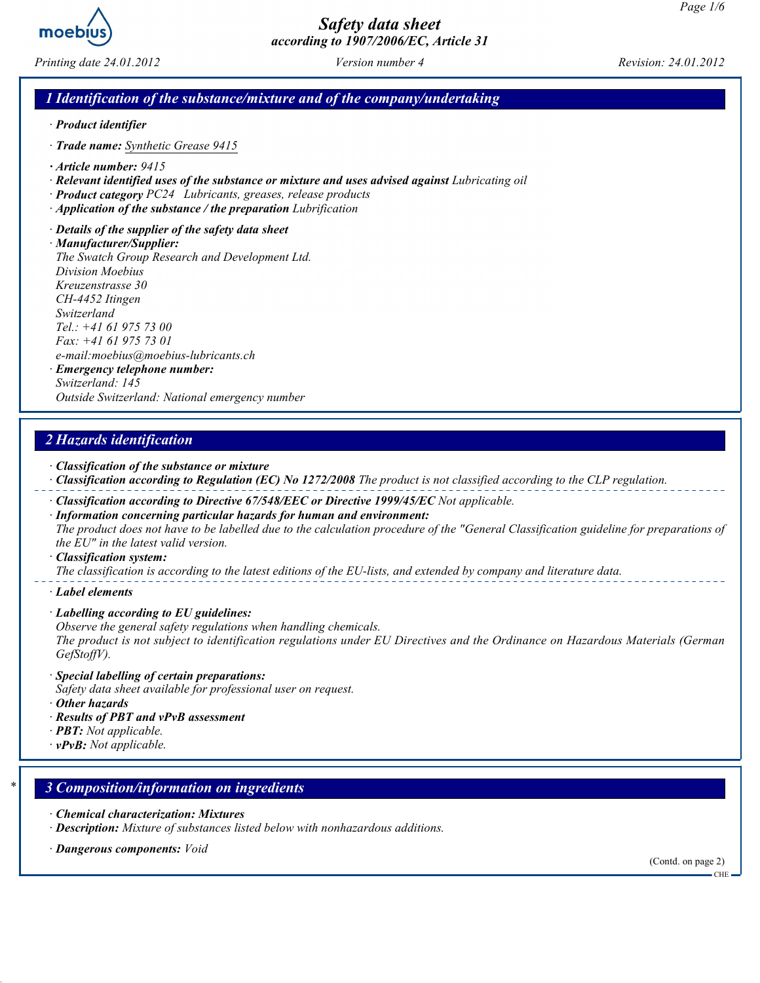

Printing date 24.01.2012 Version number 4 Revision: 24.01.2012

#### 1 Identification of the substance/mixture and of the company/undertaking

- · Product identifier
- · Trade name: Synthetic Grease 9415
- · Article number: 9415
- · Relevant identified uses of the substance or mixture and uses advised against Lubricating oil
- · Product category PC24 Lubricants, greases, release products
- · Application of the substance / the preparation Lubrification
- · Details of the supplier of the safety data sheet

· Manufacturer/Supplier: The Swatch Group Research and Development Ltd. Division Moebius Kreuzenstrasse 30 CH-4452 Itingen Switzerland Tel.: +41 61 975 73 00 Fax: +41 61 975 73 01 e-mail:moebius@moebius-lubricants.ch · Emergency telephone number: Switzerland: 145

Outside Switzerland: National emergency number

### 2 Hazards identification

- · Classification of the substance or mixture
- · Classification according to Regulation (EC) No 1272/2008 The product is not classified according to the CLP regulation.
- · Classification according to Directive 67/548/EEC or Directive 1999/45/EC Not applicable.
- · Information concerning particular hazards for human and environment: The product does not have to be labelled due to the calculation procedure of the "General Classification guideline for preparations of the EU" in the latest valid version.
- · Classification system:

The classification is according to the latest editions of the EU-lists, and extended by company and literature data.

- · Label elements
- · Labelling according to EU guidelines:
- Observe the general safety regulations when handling chemicals.

The product is not subject to identification regulations under EU Directives and the Ordinance on Hazardous Materials (German GefStoffV).

- · Special labelling of certain preparations:
- Safety data sheet available for professional user on request.
- · Other hazards
- · Results of PBT and vPvB assessment
- $\cdot$  **PBT:** Not applicable.
- $\cdot$  vPvB: Not applicable.

#### 3 Composition/information on ingredients

- · Chemical characterization: Mixtures
- · Description: Mixture of substances listed below with nonhazardous additions.
- · Dangerous components: Void

(Contd. on page 2)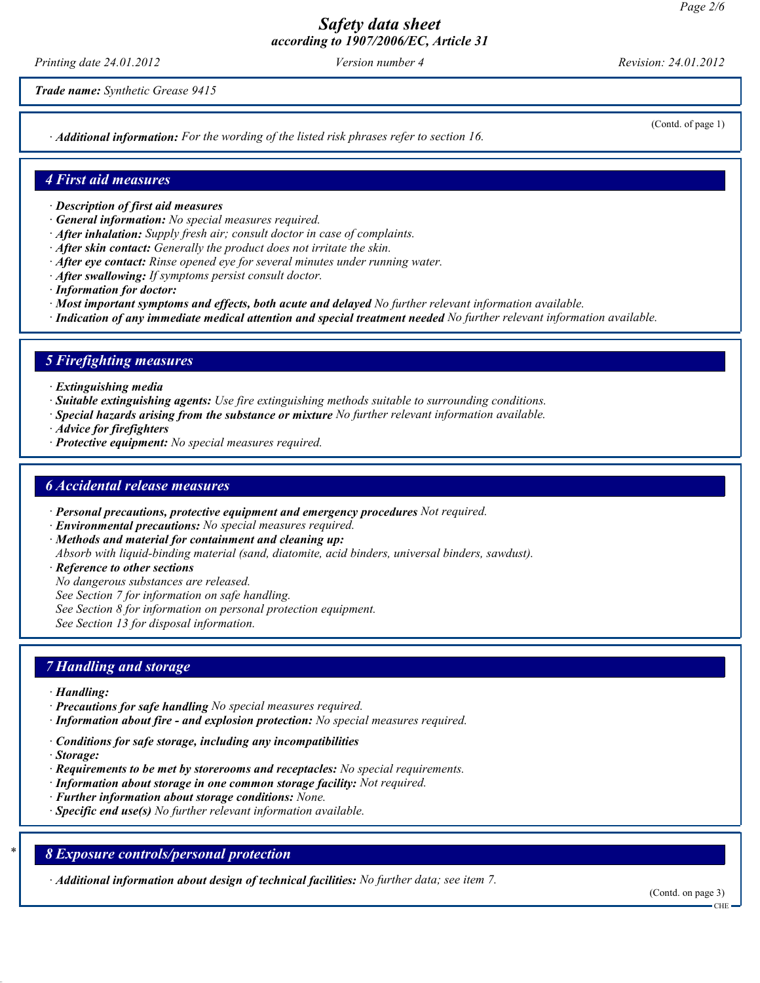Printing date 24.01.2012 Version number 4 Revision: 24.01.2012

Trade name: Synthetic Grease 9415

· Additional information: For the wording of the listed risk phrases refer to section 16.

(Contd. of page 1)

#### 4 First aid measures

- · Description of first aid measures
- · General information: No special measures required.
- · After inhalation: Supply fresh air; consult doctor in case of complaints.
- · After skin contact: Generally the product does not irritate the skin.
- $\cdot$  After eve contact: Rinse opened eve for several minutes under running water.
- · After swallowing: If symptoms persist consult doctor.
- · Information for doctor:
- · Most important symptoms and effects, both acute and delayed No further relevant information available.
- · Indication of any immediate medical attention and special treatment needed No further relevant information available.

#### 5 Firefighting measures

- · Extinguishing media
- · Suitable extinguishing agents: Use fire extinguishing methods suitable to surrounding conditions.
- · Special hazards arising from the substance or mixture No further relevant information available.
- · Advice for firefighters
- · Protective equipment: No special measures required.

#### 6 Accidental release measures

- · Personal precautions, protective equipment and emergency procedures Not required.
- · Environmental precautions: No special measures required.
- · Methods and material for containment and cleaning up:
- Absorb with liquid-binding material (sand, diatomite, acid binders, universal binders, sawdust).
- · Reference to other sections
- No dangerous substances are released.
- See Section 7 for information on safe handling.
- See Section 8 for information on personal protection equipment.

See Section 13 for disposal information.

#### 7 Handling and storage

- · Handling:
- · Precautions for safe handling No special measures required.
- · Information about fire and explosion protection: No special measures required.
- · Conditions for safe storage, including any incompatibilities
- · Storage:
- $\cdot$  Requirements to be met by storerooms and receptacles: No special requirements.
- · Information about storage in one common storage facility: Not required.
- · Further information about storage conditions: None.
- · Specific end use(s) No further relevant information available.

## 8 Exposure controls/personal protection

· Additional information about design of technical facilities: No further data; see item 7.

(Contd. on page 3)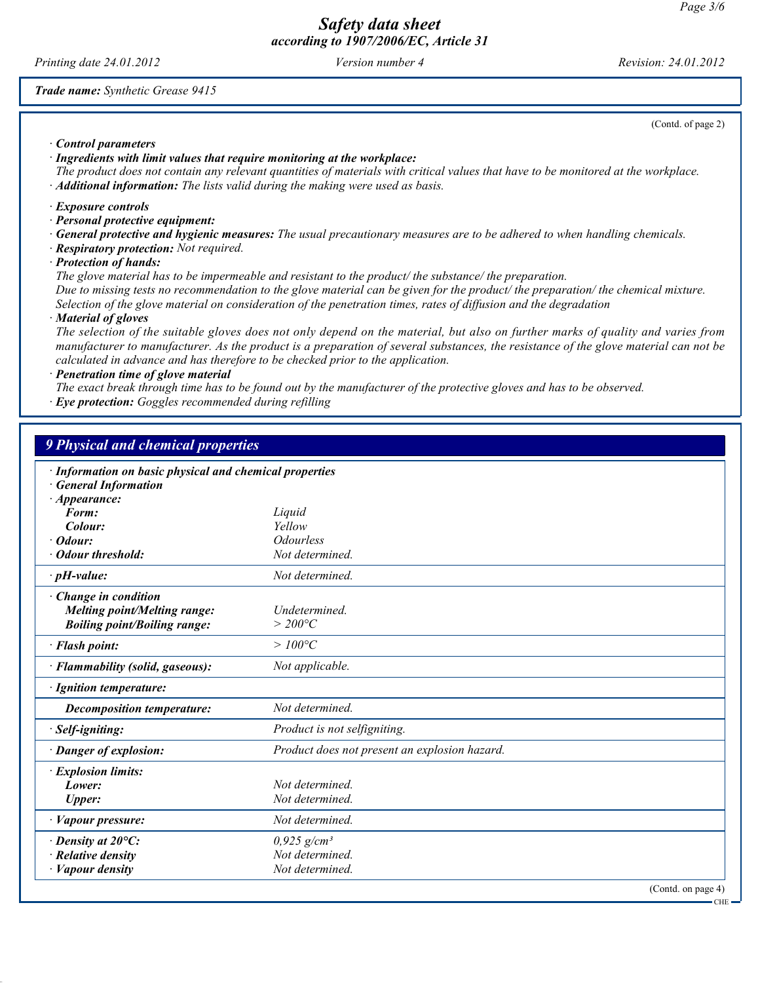Printing date 24.01.2012 Version number 4 Revision: 24.01.2012

Trade name: Synthetic Grease 9415

(Contd. of page 2)

· Control parameters

· Ingredients with limit values that require monitoring at the workplace:

The product does not contain any relevant quantities of materials with critical values that have to be monitored at the workplace.  $\cdot$  **Additional information:** The lists valid during the making were used as basis.

· Exposure controls

- · Personal protective equipment:
- · General protective and hygienic measures: The usual precautionary measures are to be adhered to when handling chemicals.
- · Respiratory protection: Not required.

· Protection of hands:

The glove material has to be impermeable and resistant to the product/ the substance/ the preparation.

Due to missing tests no recommendation to the glove material can be given for the product/ the preparation/ the chemical mixture. Selection of the glove material on consideration of the penetration times, rates of diffusion and the degradation

· Material of gloves

The selection of the suitable gloves does not only depend on the material, but also on further marks of quality and varies from manufacturer to manufacturer. As the product is a preparation of several substances, the resistance of the glove material can not be calculated in advance and has therefore to be checked prior to the application.

· Penetration time of glove material

The exact break through time has to be found out by the manufacturer of the protective gloves and has to be observed.

· Eye protection: Goggles recommended during refilling

| <b>9 Physical and chemical properties</b>                                                                             |                                                                 |
|-----------------------------------------------------------------------------------------------------------------------|-----------------------------------------------------------------|
| · Information on basic physical and chemical properties<br><b>General Information</b><br>$\cdot$ Appearance:<br>Form: | Liquid                                                          |
| Colour:                                                                                                               | Yellow                                                          |
| Odour:<br>· Odour threshold:                                                                                          | <i><u><b>Odourless</b></u></i><br>Not determined.               |
|                                                                                                                       |                                                                 |
| $\cdot$ pH-value:                                                                                                     | Not determined.                                                 |
| · Change in condition<br><b>Melting point/Melting range:</b><br><b>Boiling point/Boiling range:</b>                   | Undetermined.<br>$>$ 200°C                                      |
| · Flash point:                                                                                                        | $>100^{\circ}C$                                                 |
| · Flammability (solid, gaseous):                                                                                      | Not applicable.                                                 |
| · Ignition temperature:                                                                                               |                                                                 |
| <b>Decomposition temperature:</b>                                                                                     | Not determined.                                                 |
| · Self-igniting:                                                                                                      | Product is not selfigniting.                                    |
| · Danger of explosion:                                                                                                | Product does not present an explosion hazard.                   |
| · Explosion limits:<br>Lower:<br><b>Upper:</b>                                                                        | Not determined.<br>Not determined.                              |
| · Vapour pressure:                                                                                                    | Not determined.                                                 |
| $\cdot$ Density at 20 $\mathrm{^{\circ}C:}$<br>$\cdot$ Relative density<br>· Vapour density                           | $0,925$ g/cm <sup>3</sup><br>Not determined.<br>Not determined. |
|                                                                                                                       | (Contd. on page 4)                                              |

CHE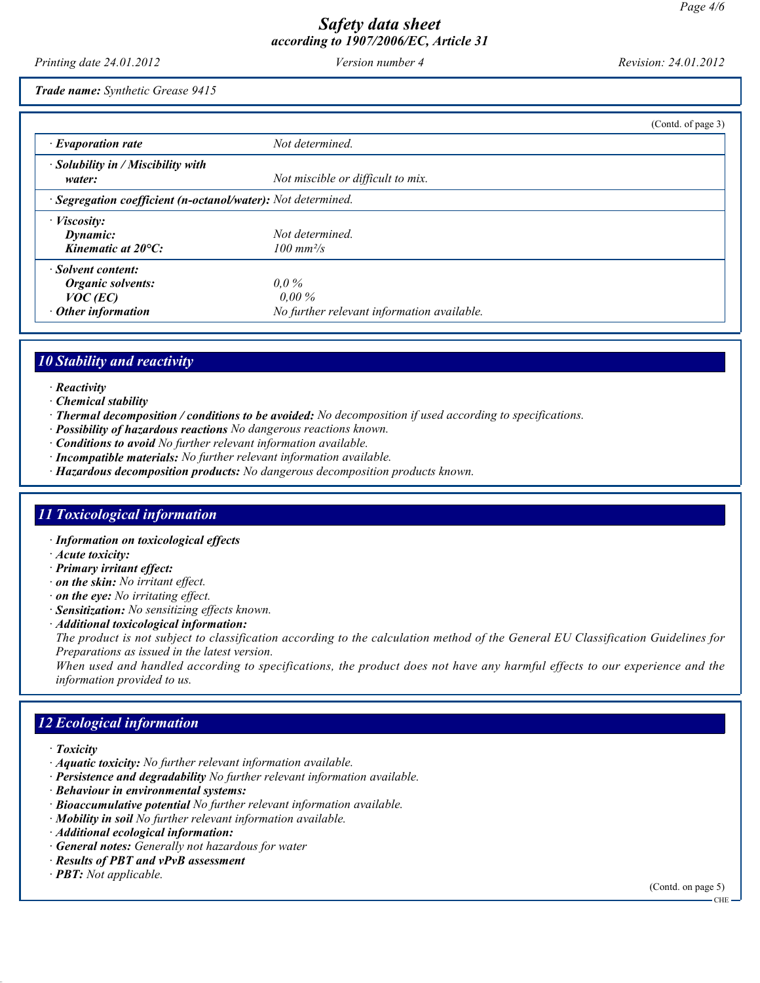Printing date 24.01.2012 Version number 4 Revision: 24.01.2012

Trade name: Synthetic Grease 9415

|                                                                                           |                                                                   | (Contd. of page 3) |
|-------------------------------------------------------------------------------------------|-------------------------------------------------------------------|--------------------|
| $\cdot$ Evaporation rate                                                                  | Not determined.                                                   |                    |
| $\cdot$ Solubility in / Miscibility with<br>water:                                        | Not miscible or difficult to mix.                                 |                    |
| · Segregation coefficient (n-octanol/water): Not determined.                              |                                                                   |                    |
| $\cdot$ <i>Viscosity:</i><br>Dynamic:<br>Kinematic at $20^{\circ}$ C:                     | Not determined.<br>$100 \; \text{mm}^2/\text{s}$                  |                    |
| · Solvent content:<br><b>Organic solvents:</b><br>$VOC$ (EC)<br>$\cdot$ Other information | $0.0\%$<br>$0.00\%$<br>No further relevant information available. |                    |

## 10 Stability and reactivity

- · Reactivity
- · Chemical stability
- · Thermal decomposition / conditions to be avoided: No decomposition if used according to specifications.
- · Possibility of hazardous reactions No dangerous reactions known.
- · Conditions to avoid No further relevant information available.
- · Incompatible materials: No further relevant information available.
- · Hazardous decomposition products: No dangerous decomposition products known.

### 11 Toxicological information

- · Information on toxicological effects
- · Acute toxicity:
- · Primary irritant effect:
- · on the skin: No irritant effect.
- $\cdot$  on the eye: No irritating effect.
- · Sensitization: No sensitizing effects known.
- · Additional toxicological information:

The product is not subject to classification according to the calculation method of the General EU Classification Guidelines for Preparations as issued in the latest version.

When used and handled according to specifications, the product does not have any harmful effects to our experience and the information provided to us.

## 12 Ecological information

- · Toxicity
- · Aquatic toxicity: No further relevant information available.
- · Persistence and degradability No further relevant information available.
- · Behaviour in environmental systems:
- · Bioaccumulative potential No further relevant information available.
- · Mobility in soil No further relevant information available.
- · Additional ecological information:
- · General notes: Generally not hazardous for water
- · Results of PBT and vPvB assessment
- $\cdot$  **PBT:** Not applicable.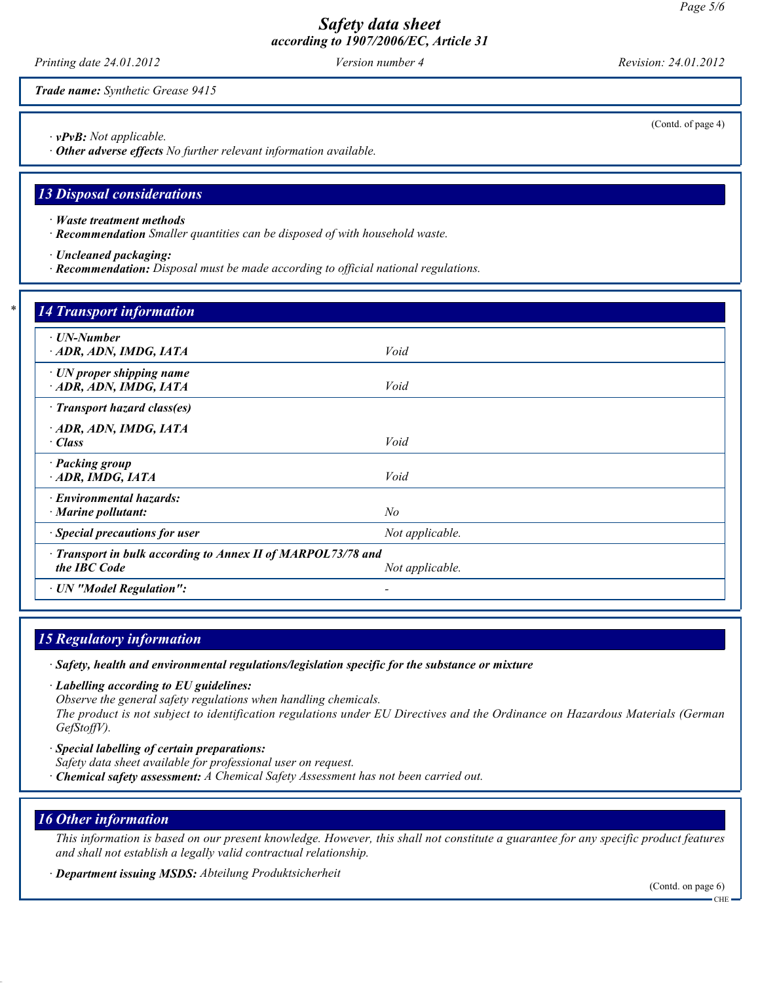Printing date 24.01.2012 Version number 4 Revision: 24.01.2012

Trade name: Synthetic Grease 9415

· vPvB: Not applicable.

· Other adverse effects No further relevant information available.

#### 13 Disposal considerations

- · Waste treatment methods
- · Recommendation Smaller quantities can be disposed of with household waste.
- · Uncleaned packaging:
- · Recommendation: Disposal must be made according to official national regulations.

| $\cdot$ UN-Number                                            |                 |  |
|--------------------------------------------------------------|-----------------|--|
| ADR, ADN, IMDG, IATA                                         | Void            |  |
|                                                              |                 |  |
| $\cdot$ UN proper shipping name                              |                 |  |
| · ADR, ADN, IMDG, IATA                                       | Void            |  |
| · Transport hazard class(es)                                 |                 |  |
| ADR, ADN, IMDG, IATA                                         |                 |  |
| · Class                                                      | Void            |  |
| · Packing group                                              |                 |  |
| $-$ ADR, IMDG, IATA                                          | Void            |  |
| · Environmental hazards:                                     |                 |  |
| $\cdot$ Marine pollutant:                                    | $N\!o$          |  |
| · Special precautions for user                               | Not applicable. |  |
| · Transport in bulk according to Annex II of MARPOL73/78 and |                 |  |
| the IBC Code                                                 | Not applicable. |  |

# 15 Regulatory information

· Safety, health and environmental regulations/legislation specific for the substance or mixture

· Labelling according to EU guidelines: Observe the general safety regulations when handling chemicals.

The product is not subject to identification regulations under EU Directives and the Ordinance on Hazardous Materials (German GefStoffV).

- · Special labelling of certain preparations:
- Safety data sheet available for professional user on request.
- · Chemical safety assessment: A Chemical Safety Assessment has not been carried out.

### 16 Other information

This information is based on our present knowledge. However, this shall not constitute a guarantee for any specific product features and shall not establish a legally valid contractual relationship.

· Department issuing MSDS: Abteilung Produktsicherheit

(Contd. of page 4)